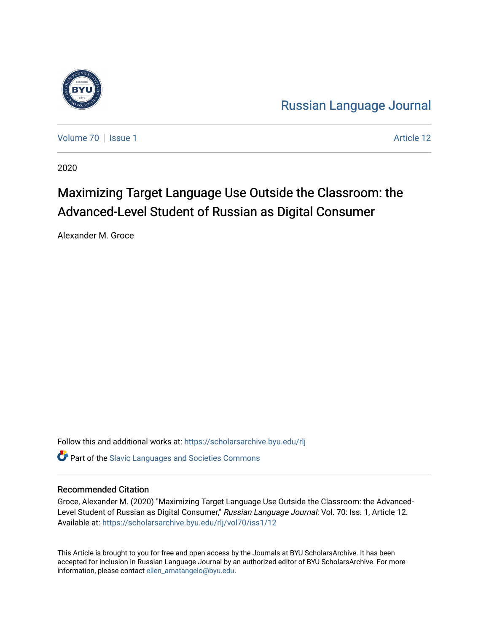

[Russian Language Journal](https://scholarsarchive.byu.edu/rlj) 

[Volume 70](https://scholarsarchive.byu.edu/rlj/vol70) | [Issue 1](https://scholarsarchive.byu.edu/rlj/vol70/iss1) Article 12

2020

# Maximizing Target Language Use Outside the Classroom: the Advanced-Level Student of Russian as Digital Consumer

Alexander M. Groce

Follow this and additional works at: [https://scholarsarchive.byu.edu/rlj](https://scholarsarchive.byu.edu/rlj?utm_source=scholarsarchive.byu.edu%2Frlj%2Fvol70%2Fiss1%2F12&utm_medium=PDF&utm_campaign=PDFCoverPages)

**C** Part of the Slavic Languages and Societies Commons

#### Recommended Citation

Groce, Alexander M. (2020) "Maximizing Target Language Use Outside the Classroom: the Advanced-Level Student of Russian as Digital Consumer," Russian Language Journal: Vol. 70: Iss. 1, Article 12. Available at: [https://scholarsarchive.byu.edu/rlj/vol70/iss1/12](https://scholarsarchive.byu.edu/rlj/vol70/iss1/12?utm_source=scholarsarchive.byu.edu%2Frlj%2Fvol70%2Fiss1%2F12&utm_medium=PDF&utm_campaign=PDFCoverPages)

This Article is brought to you for free and open access by the Journals at BYU ScholarsArchive. It has been accepted for inclusion in Russian Language Journal by an authorized editor of BYU ScholarsArchive. For more information, please contact [ellen\\_amatangelo@byu.edu.](mailto:ellen_amatangelo@byu.edu)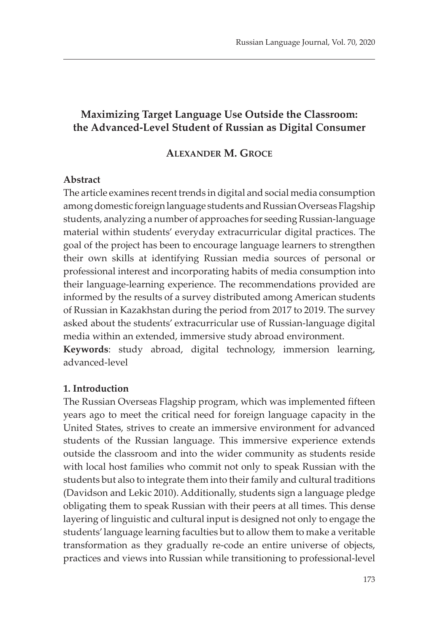# **Maximizing Target Language Use Outside the Classroom: the Advanced-Level Student of Russian as Digital Consumer**

#### **ALEXANDER M. GROCE**

#### **Abstract**

The article examines recent trends in digital and social media consumption among domestic foreign language students and Russian Overseas Flagship students, analyzing a number of approaches for seeding Russian-language material within students' everyday extracurricular digital practices. The goal of the project has been to encourage language learners to strengthen their own skills at identifying Russian media sources of personal or professional interest and incorporating habits of media consumption into their language-learning experience. The recommendations provided are informed by the results of a survey distributed among American students of Russian in Kazakhstan during the period from 2017 to 2019. The survey asked about the students' extracurricular use of Russian-language digital media within an extended, immersive study abroad environment.

**Keywords**: study abroad, digital technology, immersion learning, advanced-level

#### **1. Introduction**

The Russian Overseas Flagship program, which was implemented fifteen years ago to meet the critical need for foreign language capacity in the United States, strives to create an immersive environment for advanced students of the Russian language. This immersive experience extends outside the classroom and into the wider community as students reside with local host families who commit not only to speak Russian with the students but also to integrate them into their family and cultural traditions (Davidson and Lekic 2010). Additionally, students sign a language pledge obligating them to speak Russian with their peers at all times. This dense layering of linguistic and cultural input is designed not only to engage the students' language learning faculties but to allow them to make a veritable transformation as they gradually re-code an entire universe of objects, practices and views into Russian while transitioning to professional-level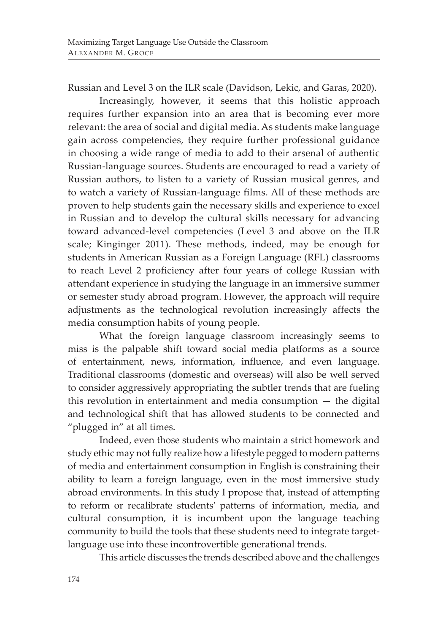Russian and Level 3 on the ILR scale (Davidson, Lekic, and Garas, 2020).

Increasingly, however, it seems that this holistic approach requires further expansion into an area that is becoming ever more relevant: the area of social and digital media. As students make language gain across competencies, they require further professional guidance in choosing a wide range of media to add to their arsenal of authentic Russian-language sources. Students are encouraged to read a variety of Russian authors, to listen to a variety of Russian musical genres, and to watch a variety of Russian-language films. All of these methods are proven to help students gain the necessary skills and experience to excel in Russian and to develop the cultural skills necessary for advancing toward advanced-level competencies (Level 3 and above on the ILR scale; Kinginger 2011). These methods, indeed, may be enough for students in American Russian as a Foreign Language (RFL) classrooms to reach Level 2 proficiency after four years of college Russian with attendant experience in studying the language in an immersive summer or semester study abroad program. However, the approach will require adjustments as the technological revolution increasingly affects the media consumption habits of young people.

What the foreign language classroom increasingly seems to miss is the palpable shift toward social media platforms as a source of entertainment, news, information, influence, and even language. Traditional classrooms (domestic and overseas) will also be well served to consider aggressively appropriating the subtler trends that are fueling this revolution in entertainment and media consumption — the digital and technological shift that has allowed students to be connected and "plugged in" at all times.

Indeed, even those students who maintain a strict homework and study ethic may not fully realize how a lifestyle pegged to modern patterns of media and entertainment consumption in English is constraining their ability to learn a foreign language, even in the most immersive study abroad environments. In this study I propose that, instead of attempting to reform or recalibrate students' patterns of information, media, and cultural consumption, it is incumbent upon the language teaching community to build the tools that these students need to integrate targetlanguage use into these incontrovertible generational trends.

This article discusses the trends described above and the challenges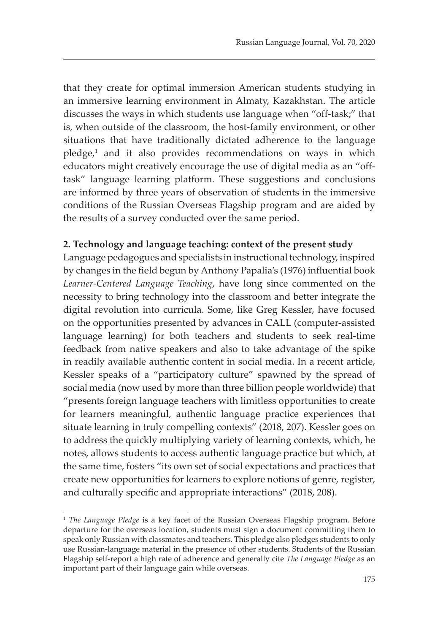that they create for optimal immersion American students studying in an immersive learning environment in Almaty, Kazakhstan. The article discusses the ways in which students use language when "off-task;" that is, when outside of the classroom, the host-family environment, or other situations that have traditionally dictated adherence to the language pledge,<sup>1</sup> and it also provides recommendations on ways in which educators might creatively encourage the use of digital media as an "offtask" language learning platform. These suggestions and conclusions are informed by three years of observation of students in the immersive conditions of the Russian Overseas Flagship program and are aided by the results of a survey conducted over the same period.

#### **2. Technology and language teaching: context of the present study**

Language pedagogues and specialists in instructional technology, inspired by changes in the field begun by Anthony Papalia's (1976) influential book *Learner-Centered Language Teaching*, have long since commented on the necessity to bring technology into the classroom and better integrate the digital revolution into curricula. Some, like Greg Kessler, have focused on the opportunities presented by advances in CALL (computer-assisted language learning) for both teachers and students to seek real-time feedback from native speakers and also to take advantage of the spike in readily available authentic content in social media. In a recent article, Kessler speaks of a "participatory culture" spawned by the spread of social media (now used by more than three billion people worldwide) that "presents foreign language teachers with limitless opportunities to create for learners meaningful, authentic language practice experiences that situate learning in truly compelling contexts" (2018, 207). Kessler goes on to address the quickly multiplying variety of learning contexts, which, he notes, allows students to access authentic language practice but which, at the same time, fosters "its own set of social expectations and practices that create new opportunities for learners to explore notions of genre, register, and culturally specific and appropriate interactions" (2018, 208).

<sup>&</sup>lt;sup>1</sup> The Language Pledge is a key facet of the Russian Overseas Flagship program. Before departure for the overseas location, students must sign a document committing them to speak only Russian with classmates and teachers. This pledge also pledges students to only use Russian-language material in the presence of other students. Students of the Russian Flagship self-report a high rate of adherence and generally cite *The Language Pledge* as an important part of their language gain while overseas.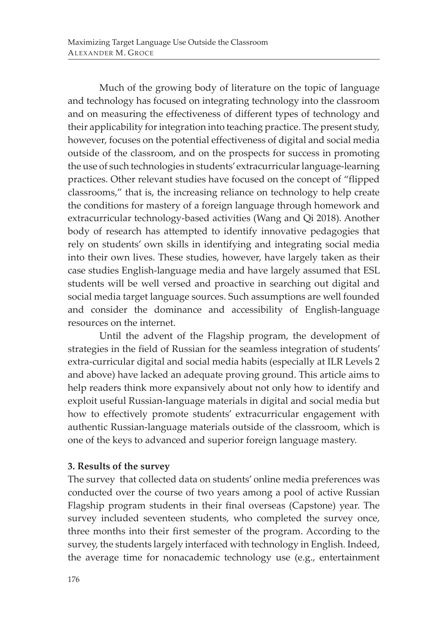Much of the growing body of literature on the topic of language and technology has focused on integrating technology into the classroom and on measuring the effectiveness of different types of technology and their applicability for integration into teaching practice. The present study, however, focuses on the potential effectiveness of digital and social media outside of the classroom, and on the prospects for success in promoting the use of such technologies in students' extracurricular language-learning practices. Other relevant studies have focused on the concept of "flipped classrooms," that is, the increasing reliance on technology to help create the conditions for mastery of a foreign language through homework and extracurricular technology-based activities (Wang and Qi 2018). Another body of research has attempted to identify innovative pedagogies that rely on students' own skills in identifying and integrating social media into their own lives. These studies, however, have largely taken as their case studies English-language media and have largely assumed that ESL students will be well versed and proactive in searching out digital and social media target language sources. Such assumptions are well founded and consider the dominance and accessibility of English-language resources on the internet.

Until the advent of the Flagship program, the development of strategies in the field of Russian for the seamless integration of students' extra-curricular digital and social media habits (especially at ILR Levels 2 and above) have lacked an adequate proving ground. This article aims to help readers think more expansively about not only how to identify and exploit useful Russian-language materials in digital and social media but how to effectively promote students' extracurricular engagement with authentic Russian-language materials outside of the classroom, which is one of the keys to advanced and superior foreign language mastery.

## **3. Results of the survey**

The survey that collected data on students' online media preferences was conducted over the course of two years among a pool of active Russian Flagship program students in their final overseas (Capstone) year. The survey included seventeen students, who completed the survey once, three months into their first semester of the program. According to the survey, the students largely interfaced with technology in English. Indeed, the average time for nonacademic technology use (e.g., entertainment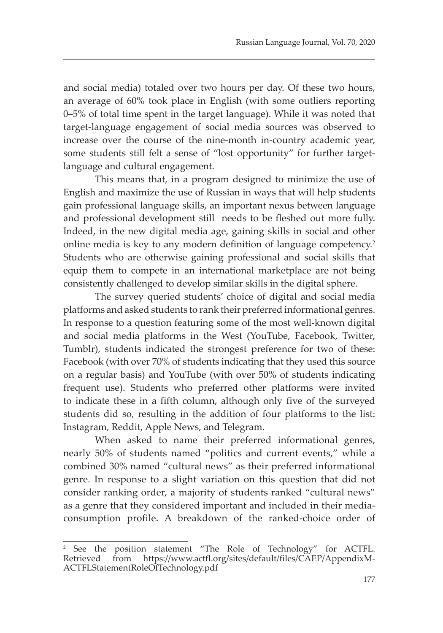and social media) totaled over two hours per day. Of these two hours, an average of 60% took place in English (with some outliers reporting 0–5% of total time spent in the target language). While it was noted that target-language engagement of social media sources was observed to increase over the course of the nine-month in-country academic year, some students still felt a sense of "lost opportunity" for further targetlanguage and cultural engagement.

This means that, in a program designed to minimize the use of English and maximize the use of Russian in ways that will help students gain professional language skills, an important nexus between language and professional development still needs to be fleshed out more fully. Indeed, in the new digital media age, gaining skills in social and other online media is key to any modern definition of language competency.<sup>2</sup> Students who are otherwise gaining professional and social skills that equip them to compete in an international marketplace are not being consistently challenged to develop similar skills in the digital sphere.

The survey queried students' choice of digital and social media platforms and asked students to rank their preferred informational genres. In response to a question featuring some of the most well-known digital and social media platforms in the West (YouTube, Facebook, Twitter, Tumblr), students indicated the strongest preference for two of these: Facebook (with over 70% of students indicating that they used this source on a regular basis) and YouTube (with over 50% of students indicating frequent use). Students who preferred other platforms were invited to indicate these in a fifth column, although only five of the surveyed students did so, resulting in the addition of four platforms to the list: Instagram, Reddit, Apple News, and Telegram.

When asked to name their preferred informational genres, nearly 50% of students named "politics and current events," while a combined 30% named "cultural news" as their preferred informational genre. In response to a slight variation on this question that did not consider ranking order, a majority of students ranked "cultural news" as a genre that they considered important and included in their mediaconsumption profile. A breakdown of the ranked-choice order of

<sup>2</sup> See the position statement "The Role of Technology" for ACTFL. Retrieved from https://www.actfl.org/sites/default/files/CAEP/AppendixM-ACTFLStatementRoleOfTechnology.pdf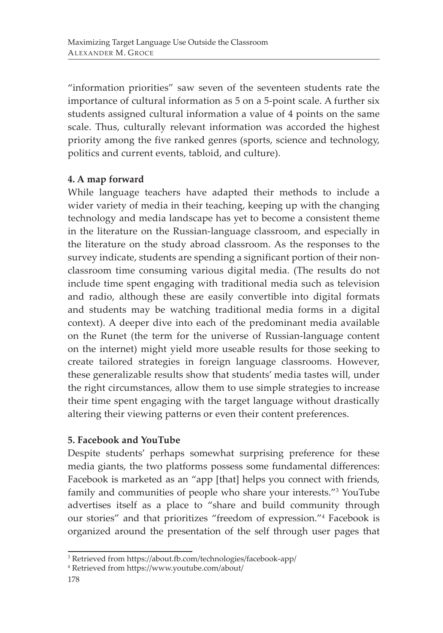"information priorities" saw seven of the seventeen students rate the importance of cultural information as 5 on a 5-point scale. A further six students assigned cultural information a value of 4 points on the same scale. Thus, culturally relevant information was accorded the highest priority among the five ranked genres (sports, science and technology, politics and current events, tabloid, and culture).

# **4. A map forward**

While language teachers have adapted their methods to include a wider variety of media in their teaching, keeping up with the changing technology and media landscape has yet to become a consistent theme in the literature on the Russian-language classroom, and especially in the literature on the study abroad classroom. As the responses to the survey indicate, students are spending a significant portion of their nonclassroom time consuming various digital media. (The results do not include time spent engaging with traditional media such as television and radio, although these are easily convertible into digital formats and students may be watching traditional media forms in a digital context). A deeper dive into each of the predominant media available on the Runet (the term for the universe of Russian-language content on the internet) might yield more useable results for those seeking to create tailored strategies in foreign language classrooms. However, these generalizable results show that students' media tastes will, under the right circumstances, allow them to use simple strategies to increase their time spent engaging with the target language without drastically altering their viewing patterns or even their content preferences.

## **5. Facebook and YouTube**

Despite students' perhaps somewhat surprising preference for these media giants, the two platforms possess some fundamental differences: Facebook is marketed as an "app [that] helps you connect with friends, family and communities of people who share your interests."3 YouTube advertises itself as a place to "share and build community through our stories" and that prioritizes "freedom of expression."4 Facebook is organized around the presentation of the self through user pages that

<sup>3</sup> Retrieved from https://about.fb.com/technologies/facebook-app/

<sup>4</sup> Retrieved from https://www.youtube.com/about/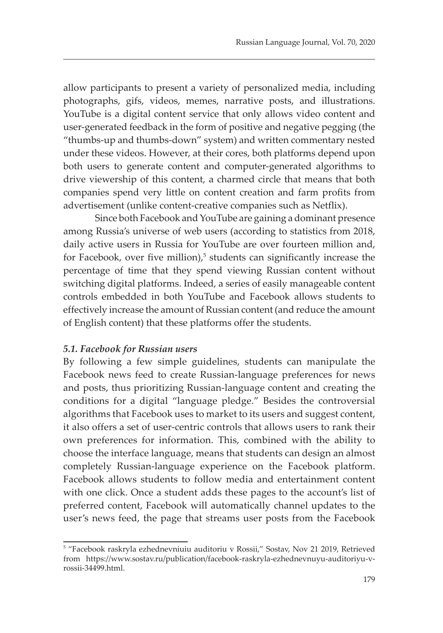allow participants to present a variety of personalized media, including photographs, gifs, videos, memes, narrative posts, and illustrations. YouTube is a digital content service that only allows video content and user-generated feedback in the form of positive and negative pegging (the "thumbs-up and thumbs-down" system) and written commentary nested under these videos. However, at their cores, both platforms depend upon both users to generate content and computer-generated algorithms to drive viewership of this content, a charmed circle that means that both companies spend very little on content creation and farm profits from advertisement (unlike content-creative companies such as Netflix).

Since both Facebook and YouTube are gaining a dominant presence among Russia's universe of web users (according to statistics from 2018, daily active users in Russia for YouTube are over fourteen million and, for Facebook, over five million),<sup>5</sup> students can significantly increase the percentage of time that they spend viewing Russian content without switching digital platforms. Indeed, a series of easily manageable content controls embedded in both YouTube and Facebook allows students to effectively increase the amount of Russian content (and reduce the amount of English content) that these platforms offer the students.

#### *5.1. Facebook for Russian users*

By following a few simple guidelines, students can manipulate the Facebook news feed to create Russian-language preferences for news and posts, thus prioritizing Russian-language content and creating the conditions for a digital "language pledge." Besides the controversial algorithms that Facebook uses to market to its users and suggest content, it also offers a set of user-centric controls that allows users to rank their own preferences for information. This, combined with the ability to choose the interface language, means that students can design an almost completely Russian-language experience on the Facebook platform. Facebook allows students to follow media and entertainment content with one click. Once a student adds these pages to the account's list of preferred content, Facebook will automatically channel updates to the user's news feed, the page that streams user posts from the Facebook

<sup>5</sup> "Facebook raskryla ezhednevniuiu auditoriu v Rossii," Sostav, Nov 21 2019, Retrieved from https://www.sostav.ru/publication/facebook-raskryla-ezhednevnuyu-auditoriyu-vrossii-34499.html.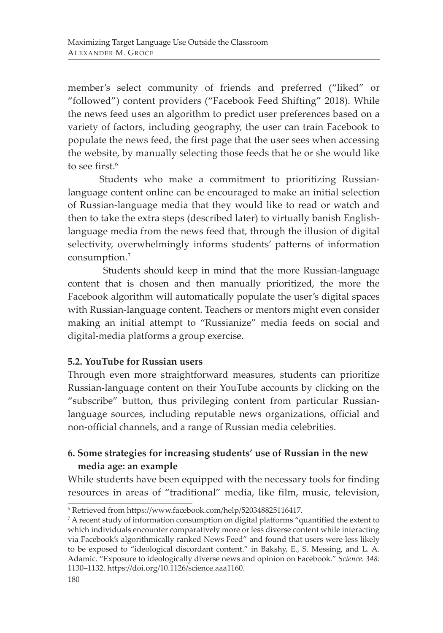member's select community of friends and preferred ("liked" or "followed") content providers ("Facebook Feed Shifting" 2018). While the news feed uses an algorithm to predict user preferences based on a variety of factors, including geography, the user can train Facebook to populate the news feed, the first page that the user sees when accessing the website, by manually selecting those feeds that he or she would like to see first.<sup>6</sup>

Students who make a commitment to prioritizing Russianlanguage content online can be encouraged to make an initial selection of Russian-language media that they would like to read or watch and then to take the extra steps (described later) to virtually banish Englishlanguage media from the news feed that, through the illusion of digital selectivity, overwhelmingly informs students' patterns of information consumption.<sup>7</sup>

 Students should keep in mind that the more Russian-language content that is chosen and then manually prioritized, the more the Facebook algorithm will automatically populate the user's digital spaces with Russian-language content. Teachers or mentors might even consider making an initial attempt to "Russianize" media feeds on social and digital-media platforms a group exercise.

## **5.2. YouTube for Russian users**

Through even more straightforward measures, students can prioritize Russian-language content on their YouTube accounts by clicking on the "subscribe" button, thus privileging content from particular Russianlanguage sources, including reputable news organizations, official and non-official channels, and a range of Russian media celebrities.

# **6. Some strategies for increasing students' use of Russian in the new media age: an example**

While students have been equipped with the necessary tools for finding resources in areas of "traditional" media, like film, music, television,

<sup>6</sup> Retrieved from https://www.facebook.com/help/520348825116417.

 $\sigma$  A recent study of information consumption on digital platforms "quantified the extent to which individuals encounter comparatively more or less diverse content while interacting via Facebook's algorithmically ranked News Feed" and found that users were less likely to be exposed to "ideological discordant content." in Bakshy, E., S. Messing, and L. A. Adamic. "Exposure to ideologically diverse news and opinion on Facebook." *Science. 348:*  1130–1132. https://doi.org/10.1126/science.aaa1160.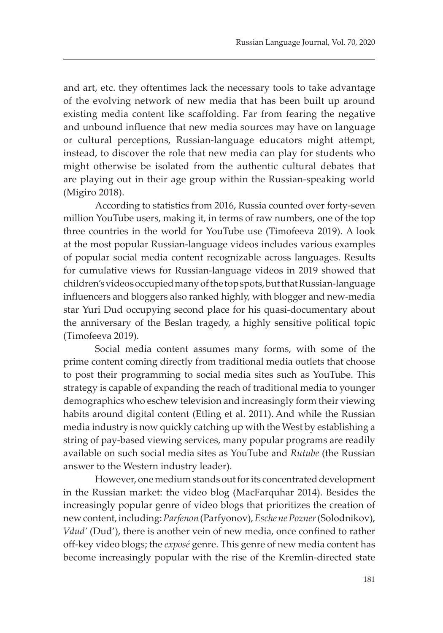and art, etc. they oftentimes lack the necessary tools to take advantage of the evolving network of new media that has been built up around existing media content like scaffolding. Far from fearing the negative and unbound influence that new media sources may have on language or cultural perceptions, Russian-language educators might attempt, instead, to discover the role that new media can play for students who might otherwise be isolated from the authentic cultural debates that are playing out in their age group within the Russian-speaking world (Migiro 2018).

According to statistics from 2016, Russia counted over forty-seven million YouTube users, making it, in terms of raw numbers, one of the top three countries in the world for YouTube use (Timofeeva 2019). A look at the most popular Russian-language videos includes various examples of popular social media content recognizable across languages. Results for cumulative views for Russian-language videos in 2019 showed that children's videos occupied many of the top spots, but that Russian-language influencers and bloggers also ranked highly, with blogger and new-media star Yuri Dud occupying second place for his quasi-documentary about the anniversary of the Beslan tragedy, a highly sensitive political topic (Timofeeva 2019).

Social media content assumes many forms, with some of the prime content coming directly from traditional media outlets that choose to post their programming to social media sites such as YouTube. This strategy is capable of expanding the reach of traditional media to younger demographics who eschew television and increasingly form their viewing habits around digital content (Etling et al. 2011). And while the Russian media industry is now quickly catching up with the West by establishing a string of pay-based viewing services, many popular programs are readily available on such social media sites as YouTube and *Rutube* (the Russian answer to the Western industry leader).

However, one medium stands out for its concentrated development in the Russian market: the video blog (MacFarquhar 2014). Besides the increasingly popular genre of video blogs that prioritizes the creation of new content, including: *Parfenon* (Parfyonov), *Esche ne Pozner* (Solodnikov), *Vdud'* (Dud'), there is another vein of new media, once confined to rather off-key video blogs; the *exposé* genre. This genre of new media content has become increasingly popular with the rise of the Kremlin-directed state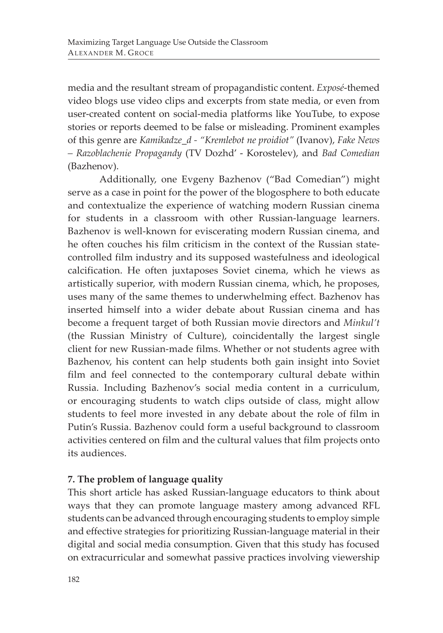media and the resultant stream of propagandistic content. *Exposé*-themed video blogs use video clips and excerpts from state media, or even from user-created content on social-media platforms like YouTube, to expose stories or reports deemed to be false or misleading. Prominent examples of this genre are *Kamikadze\_d - "Kremlebot ne proidiot"* (Ivanov), *Fake News – Razoblachenie Propagandy* (TV Dozhd' - Korostelev), and *Bad Comedian*  (Bazhenov).

Additionally, one Evgeny Bazhenov ("Bad Comedian") might serve as a case in point for the power of the blogosphere to both educate and contextualize the experience of watching modern Russian cinema for students in a classroom with other Russian-language learners. Bazhenov is well-known for eviscerating modern Russian cinema, and he often couches his film criticism in the context of the Russian statecontrolled film industry and its supposed wastefulness and ideological calcification. He often juxtaposes Soviet cinema, which he views as artistically superior, with modern Russian cinema, which, he proposes, uses many of the same themes to underwhelming effect. Bazhenov has inserted himself into a wider debate about Russian cinema and has become a frequent target of both Russian movie directors and *Minkul't* (the Russian Ministry of Culture), coincidentally the largest single client for new Russian-made films. Whether or not students agree with Bazhenov, his content can help students both gain insight into Soviet film and feel connected to the contemporary cultural debate within Russia. Including Bazhenov's social media content in a curriculum, or encouraging students to watch clips outside of class, might allow students to feel more invested in any debate about the role of film in Putin's Russia. Bazhenov could form a useful background to classroom activities centered on film and the cultural values that film projects onto its audiences.

## **7. The problem of language quality**

This short article has asked Russian-language educators to think about ways that they can promote language mastery among advanced RFL students can be advanced through encouraging students to employ simple and effective strategies for prioritizing Russian-language material in their digital and social media consumption. Given that this study has focused on extracurricular and somewhat passive practices involving viewership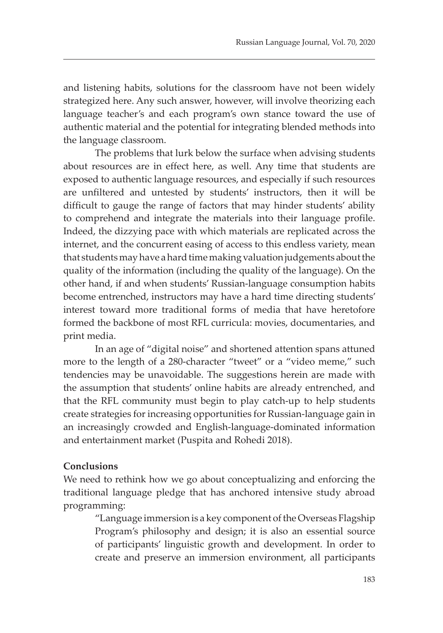and listening habits, solutions for the classroom have not been widely strategized here. Any such answer, however, will involve theorizing each language teacher's and each program's own stance toward the use of authentic material and the potential for integrating blended methods into the language classroom.

The problems that lurk below the surface when advising students about resources are in effect here, as well. Any time that students are exposed to authentic language resources, and especially if such resources are unfiltered and untested by students' instructors, then it will be difficult to gauge the range of factors that may hinder students' ability to comprehend and integrate the materials into their language profile. Indeed, the dizzying pace with which materials are replicated across the internet, and the concurrent easing of access to this endless variety, mean that students may have a hard time making valuation judgements about the quality of the information (including the quality of the language). On the other hand, if and when students' Russian-language consumption habits become entrenched, instructors may have a hard time directing students' interest toward more traditional forms of media that have heretofore formed the backbone of most RFL curricula: movies, documentaries, and print media.

In an age of "digital noise" and shortened attention spans attuned more to the length of a 280-character "tweet" or a "video meme," such tendencies may be unavoidable. The suggestions herein are made with the assumption that students' online habits are already entrenched, and that the RFL community must begin to play catch-up to help students create strategies for increasing opportunities for Russian-language gain in an increasingly crowded and English-language-dominated information and entertainment market (Puspita and Rohedi 2018).

#### **Conclusions**

We need to rethink how we go about conceptualizing and enforcing the traditional language pledge that has anchored intensive study abroad programming:

"Language immersion is a key component of the Overseas Flagship Program's philosophy and design; it is also an essential source of participants' linguistic growth and development. In order to create and preserve an immersion environment, all participants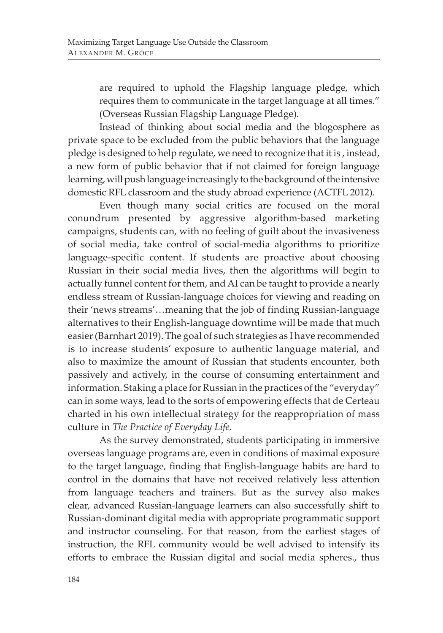are required to uphold the Flagship language pledge, which requires them to communicate in the target language at all times." (Overseas Russian Flagship Language Pledge).

Instead of thinking about social media and the blogosphere as private space to be excluded from the public behaviors that the language pledge is designed to help regulate, we need to recognize that it is , instead, a new form of public behavior that if not claimed for foreign language learning, will push language increasingly to the background of the intensive domestic RFL classroom and the study abroad experience (ACTFL 2012).

Even though many social critics are focused on the moral conundrum presented by aggressive algorithm-based marketing campaigns, students can, with no feeling of guilt about the invasiveness of social media, take control of social-media algorithms to prioritize language-specific content. If students are proactive about choosing Russian in their social media lives, then the algorithms will begin to actually funnel content for them, and AI can be taught to provide a nearly endless stream of Russian-language choices for viewing and reading on their 'news streams'…meaning that the job of finding Russian-language alternatives to their English-language downtime will be made that much easier (Barnhart 2019). The goal of such strategies as I have recommended is to increase students' exposure to authentic language material, and also to maximize the amount of Russian that students encounter, both passively and actively, in the course of consuming entertainment and information. Staking a place for Russian in the practices of the "everyday" can in some ways, lead to the sorts of empowering effects that de Certeau charted in his own intellectual strategy for the reappropriation of mass culture in *The Practice of Everyday Life*.

As the survey demonstrated, students participating in immersive overseas language programs are, even in conditions of maximal exposure to the target language, finding that English-language habits are hard to control in the domains that have not received relatively less attention from language teachers and trainers. But as the survey also makes clear, advanced Russian-language learners can also successfully shift to Russian-dominant digital media with appropriate programmatic support and instructor counseling. For that reason, from the earliest stages of instruction, the RFL community would be well advised to intensify its efforts to embrace the Russian digital and social media spheres., thus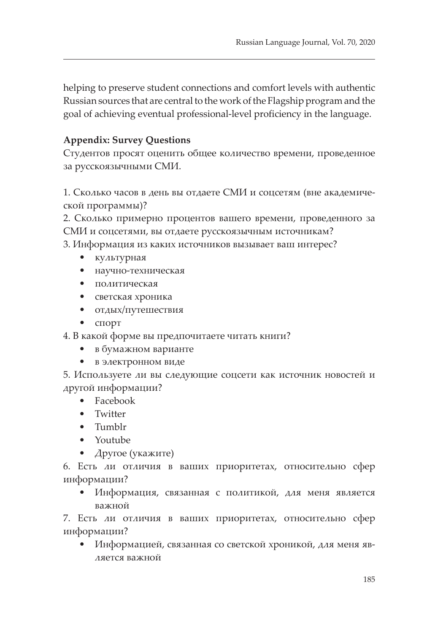helping to preserve student connections and comfort levels with authentic Russian sources that are central to the work of the Flagship program and the goal of achieving eventual professional-level proficiency in the language.

# **Appendix: Survey Questions**

Студентов просят оценить общее количество времени, проведенное за русскоязычными СМИ.

1. Сколько часов в день вы отдаете СМИ и соцсетям (вне академической программы)?

2. Сколько примерно процентов вашего времени, проведенного за СМИ и соцсетями, вы отдаете русскоязычным источникам?

3. Информация из каких источников вызывает ваш интерес?

- культурная
- научно-техническая
- политическая
- светская хроника
- отдых/путешествия
- спорт

4. В какой форме вы предпочитаете читать книги?

- в бумажном варианте
- в электронном виде

5. Используете ли вы следующие соцсети как источник новостей и другой информации?

- Facebook
- Twitter
- Tumblr
- Youtube
- Другое (укажите)

6. Есть ли отличия в ваших приоритетах, относительно сфер информации?

• Информация, связанная с политикой, для меня является важной

7. Есть ли отличия в ваших приоритетах, относительно сфер информации?

• Информацией, связанная со светской хроникой, для меня является важной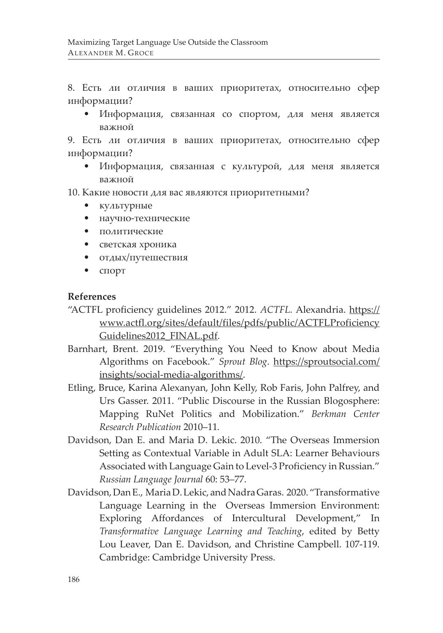8. Есть ли отличия в ваших приоритетах, относительно сфер информации?

• Информация, связанная со спортом, для меня является важной

9. Есть ли отличия в ваших приоритетах, относительно сфер информации?

• Информация, связанная с культурой, для меня является важной

10. Какие новости для вас являются приоритетными?

- культурные
- научно-технические
- политические
- светская хроника
- отдых/путешествия
- спорт

#### **References**

- "ACTFL proficiency guidelines 2012." 2012. *ACTFL.* Alexandria. https:// www.actfl.org/sites/default/files/pdfs/public/ACTFLProficiency Guidelines2012\_FINAL.pdf.
- Barnhart, Brent. 2019. "Everything You Need to Know about Media Algorithms on Facebook." *Sprout Blog*. https://sproutsocial.com/ insights/social-media-algorithms/.
- Etling, Bruce, Karina Alexanyan, John Kelly, Rob Faris, John Palfrey, and Urs Gasser. 2011. "Public Discourse in the Russian Blogosphere: Mapping RuNet Politics and Mobilization." *Berkman Center Research Publication* 2010–11*.*
- Davidson, Dan E. and Maria D. Lekic. 2010. "The Overseas Immersion Setting as Contextual Variable in Adult SLA: Learner Behaviours Associated with Language Gain to Level-3 Proficiency in Russian." *Russian Language Journal* 60: 53–77.
- Davidson, Dan E., Maria D. Lekic, and Nadra Garas. 2020. "Transformative Language Learning in the Overseas Immersion Environment: Exploring Affordances of Intercultural Development," In *Transformative Language Learning and Teaching*, edited by Betty Lou Leaver, Dan E. Davidson, and Christine Campbell. 107-119. Cambridge: Cambridge University Press.